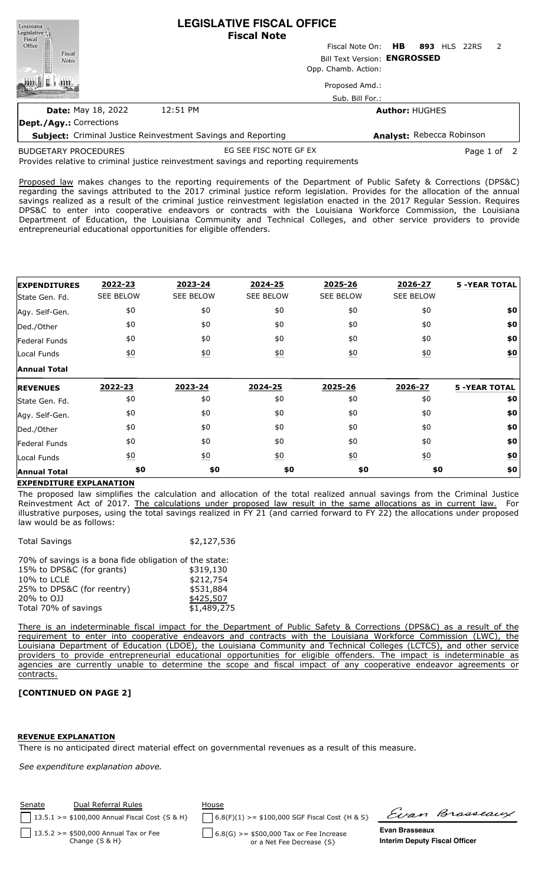| Louisiana<br>Legislative                                            | <b>LEGISLATIVE FISCAL OFFICE</b><br><b>Fiscal Note</b> |                           |                                |  |  |
|---------------------------------------------------------------------|--------------------------------------------------------|---------------------------|--------------------------------|--|--|
| Fiscal<br>Office                                                    |                                                        | HB<br>Fiscal Note On:     | 893 HLS 22RS<br>$\overline{z}$ |  |  |
| Fiscal<br><b>Notes</b>                                              | Bill Text Version: ENGROSSED                           |                           |                                |  |  |
|                                                                     |                                                        | Opp. Chamb. Action:       |                                |  |  |
|                                                                     |                                                        | Proposed Amd.:            |                                |  |  |
|                                                                     |                                                        | Sub. Bill For.:           |                                |  |  |
| <b>Date: May 18, 2022</b>                                           | 12:51 PM                                               |                           | <b>Author: HUGHES</b>          |  |  |
| Dept./Agy.: Corrections                                             |                                                        |                           |                                |  |  |
| <b>Subject:</b> Criminal Justice Reinvestment Savings and Reporting |                                                        | Analyst: Rebecca Robinson |                                |  |  |

**Subject:** Criminal Justice Reinvestment Savings and Reporting

EG SEE FISC NOTE GF EX Page 1 of 2

Provides relative to criminal justice reinvestment savings and reporting requirements BUDGETARY PROCEDURES

Proposed law makes changes to the reporting requirements of the Department of Public Safety & Corrections (DPS&C) regarding the savings attributed to the 2017 criminal justice reform legislation. Provides for the allocation of the annual savings realized as a result of the criminal justice reinvestment legislation enacted in the 2017 Regular Session. Requires DPS&C to enter into cooperative endeavors or contracts with the Louisiana Workforce Commission, the Louisiana Department of Education, the Louisiana Community and Technical Colleges, and other service providers to provide entrepreneurial educational opportunities for eligible offenders.

| <b>EXPENDITURES</b> | 2022-23           | 2023-24          | 2024-25          | 2025-26           | 2026-27           | <b>5 -YEAR TOTAL</b> |
|---------------------|-------------------|------------------|------------------|-------------------|-------------------|----------------------|
| State Gen. Fd.      | <b>SEE BELOW</b>  | <b>SEE BELOW</b> | <b>SEE BELOW</b> | <b>SEE BELOW</b>  | <b>SEE BELOW</b>  |                      |
| Agy. Self-Gen.      | \$0               | \$0              | \$0              | \$0               | \$0               | \$0                  |
| Ded./Other          | \$0               | \$0              | \$0              | \$0               | \$0               | \$0                  |
| Federal Funds       | \$0               | \$0              | \$0              | \$0               | \$0               | \$0                  |
| Local Funds         | $\underline{\$0}$ | 60               | $\underline{50}$ | 60                | $\underline{50}$  | \$0                  |
| <b>Annual Total</b> |                   |                  |                  |                   |                   |                      |
| <b>REVENUES</b>     | 2022-23           | 2023-24          | 2024-25          | 2025-26           | 2026-27           | <b>5 -YEAR TOTAL</b> |
| State Gen. Fd.      | \$0               | \$0              | \$0              | \$0               | \$0               | \$0                  |
| Agy. Self-Gen.      | \$0               | \$0              | \$0              | \$0               | \$0               | \$0                  |
| Ded./Other          | \$0               | \$0              | \$0              | \$0               | \$0               | \$0                  |
| Federal Funds       | \$0               | \$0              | \$0              | \$0               | \$0               | \$0                  |
|                     |                   |                  |                  |                   |                   |                      |
| Local Funds         | $\underline{\$0}$ | $\underline{50}$ | $\underline{50}$ | $\underline{\$0}$ | $\underline{\$0}$ | \$0                  |

## **EXPENDITURE EXPLANATION**

The proposed law simplifies the calculation and allocation of the total realized annual savings from the Criminal Justice Reinvestment Act of 2017. The calculations under proposed law result in the same allocations as in current law. For illustrative purposes, using the total savings realized in FY 21 (and carried forward to FY 22) the allocations under proposed law would be as follows:

| <b>Total Savings</b>                                   | \$2,127,536 |
|--------------------------------------------------------|-------------|
| 70% of savings is a bona fide obligation of the state: |             |
| 15% to DPS&C (for grants)                              | \$319,130   |
| 10% to LCLE                                            | \$212,754   |
| 25% to DPS&C (for reentry)                             | \$531,884   |
| 20% to OJJ                                             | \$425,507   |

Total 70% of savings  $$1,489,275$ 

There is an indeterminable fiscal impact for the Department of Public Safety & Corrections (DPS&C) as a result of the requirement to enter into cooperative endeavors and contracts with the Louisiana Workforce Commission (LWC), the Louisiana Department of Education (LDOE), the Louisiana Community and Technical Colleges (LCTCS), and other service providers to provide entrepreneurial educational opportunities for eligible offenders. The impact is indeterminable as agencies are currently unable to determine the scope and fiscal impact of any cooperative endeavor agreements or contracts.

## **[CONTINUED ON PAGE 2]**

## **REVENUE EXPLANATION**

There is no anticipated direct material effect on governmental revenues as a result of this measure.

*See expenditure explanation above.*

| <b>Senate</b> | Dual Referral Rules<br>13.5.1 >= $$100,000$ Annual Fiscal Cost {S & H} | House<br>$6.8(F)(1)$ >= \$100,000 SGF Fiscal Cost {H & S} | Evan Brasseaux                       |
|---------------|------------------------------------------------------------------------|-----------------------------------------------------------|--------------------------------------|
|               | 13.5.2 >= $$500,000$ Annual Tax or Fee                                 | $\int$ 6.8(G) >= \$500,000 Tax or Fee Increase            | Evan Brasseaux                       |
|               | Change $\{S \& H\}$                                                    | or a Net Fee Decrease {S}                                 | <b>Interim Deputy Fiscal Officer</b> |